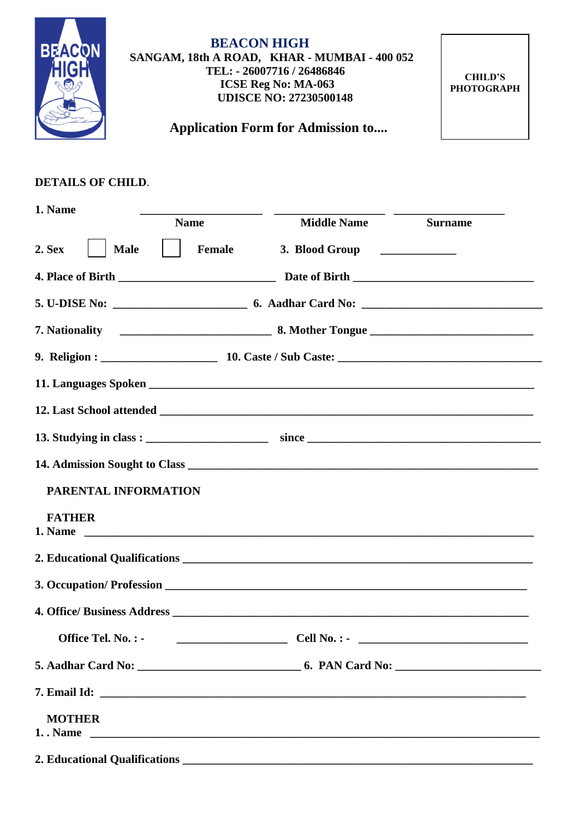

## **BEACON HIGH SANGAM, 18th A ROAD, KHAR - MUMBAI - 400 052 TEL: - 26007716 / 26486846 ICSE Reg No: MA-063 UDISCE NO: 27230500148**

**CHILD'S PHOTOGRAPH**

 **Application Form for Admission to....**

## **DETAILS OF CHILD**.

| 1. Name<br><b>Name</b>                                | <b>Middle Name</b>             | <b>Surname</b> |
|-------------------------------------------------------|--------------------------------|----------------|
| $2.$ Sex                                              |                                |                |
| <b>Male</b><br>Female                                 | 3. Blood Group _______________ |                |
|                                                       |                                |                |
|                                                       |                                |                |
|                                                       |                                |                |
|                                                       |                                |                |
|                                                       |                                |                |
|                                                       |                                |                |
|                                                       |                                |                |
|                                                       |                                |                |
| PARENTAL INFORMATION                                  |                                |                |
| <b>FATHER</b><br>1. Name                              |                                |                |
|                                                       |                                |                |
|                                                       |                                |                |
|                                                       |                                |                |
| Office Tel. No. : $\qquad \qquad \qquad$ Cell No. : - |                                |                |
|                                                       |                                |                |
|                                                       |                                |                |
| <b>MOTHER</b>                                         |                                |                |
|                                                       |                                |                |